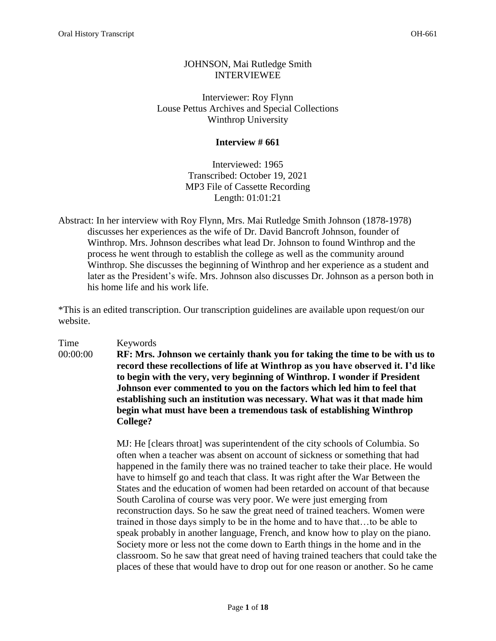# JOHNSON, Mai Rutledge Smith INTERVIEWEE

Interviewer: Roy Flynn Louse Pettus Archives and Special Collections Winthrop University

## **Interview # 661**

Interviewed: 1965 Transcribed: October 19, 2021 MP3 File of Cassette Recording Length: 01:01:21

Abstract: In her interview with Roy Flynn, Mrs. Mai Rutledge Smith Johnson (1878-1978) discusses her experiences as the wife of Dr. David Bancroft Johnson, founder of Winthrop. Mrs. Johnson describes what lead Dr. Johnson to found Winthrop and the process he went through to establish the college as well as the community around Winthrop. She discusses the beginning of Winthrop and her experience as a student and later as the President's wife. Mrs. Johnson also discusses Dr. Johnson as a person both in his home life and his work life.

\*This is an edited transcription. Our transcription guidelines are available upon request/on our website.

# Time Keywords

00:00:00 **RF: Mrs. Johnson we certainly thank you for taking the time to be with us to record these recollections of life at Winthrop as you have observed it. I'd like to begin with the very, very beginning of Winthrop. I wonder if President Johnson ever commented to you on the factors which led him to feel that establishing such an institution was necessary. What was it that made him begin what must have been a tremendous task of establishing Winthrop College?** 

> MJ: He [clears throat] was superintendent of the city schools of Columbia. So often when a teacher was absent on account of sickness or something that had happened in the family there was no trained teacher to take their place. He would have to himself go and teach that class. It was right after the War Between the States and the education of women had been retarded on account of that because South Carolina of course was very poor. We were just emerging from reconstruction days. So he saw the great need of trained teachers. Women were trained in those days simply to be in the home and to have that…to be able to speak probably in another language, French, and know how to play on the piano. Society more or less not the come down to Earth things in the home and in the classroom. So he saw that great need of having trained teachers that could take the places of these that would have to drop out for one reason or another. So he came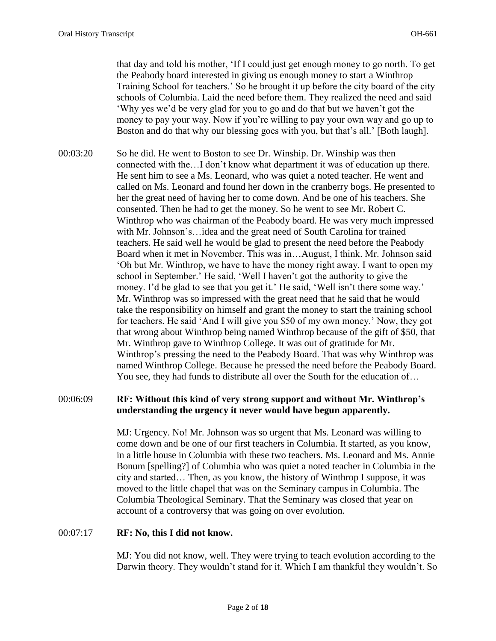that day and told his mother, 'If I could just get enough money to go north. To get the Peabody board interested in giving us enough money to start a Winthrop Training School for teachers.' So he brought it up before the city board of the city schools of Columbia. Laid the need before them. They realized the need and said 'Why yes we'd be very glad for you to go and do that but we haven't got the money to pay your way. Now if you're willing to pay your own way and go up to Boston and do that why our blessing goes with you, but that's all.' [Both laugh].

00:03:20 So he did. He went to Boston to see Dr. Winship. Dr. Winship was then connected with the…I don't know what department it was of education up there. He sent him to see a Ms. Leonard, who was quiet a noted teacher. He went and called on Ms. Leonard and found her down in the cranberry bogs. He presented to her the great need of having her to come down. And be one of his teachers. She consented. Then he had to get the money. So he went to see Mr. Robert C. Winthrop who was chairman of the Peabody board. He was very much impressed with Mr. Johnson's…idea and the great need of South Carolina for trained teachers. He said well he would be glad to present the need before the Peabody Board when it met in November. This was in…August, I think. Mr. Johnson said 'Oh but Mr. Winthrop, we have to have the money right away. I want to open my school in September.' He said, 'Well I haven't got the authority to give the money. I'd be glad to see that you get it.' He said, 'Well isn't there some way.' Mr. Winthrop was so impressed with the great need that he said that he would take the responsibility on himself and grant the money to start the training school for teachers. He said 'And I will give you \$50 of my own money.' Now, they got that wrong about Winthrop being named Winthrop because of the gift of \$50, that Mr. Winthrop gave to Winthrop College. It was out of gratitude for Mr. Winthrop's pressing the need to the Peabody Board. That was why Winthrop was named Winthrop College. Because he pressed the need before the Peabody Board. You see, they had funds to distribute all over the South for the education of...

#### 00:06:09 **RF: Without this kind of very strong support and without Mr. Winthrop's understanding the urgency it never would have begun apparently.**

MJ: Urgency. No! Mr. Johnson was so urgent that Ms. Leonard was willing to come down and be one of our first teachers in Columbia. It started, as you know, in a little house in Columbia with these two teachers. Ms. Leonard and Ms. Annie Bonum [spelling?] of Columbia who was quiet a noted teacher in Columbia in the city and started… Then, as you know, the history of Winthrop I suppose, it was moved to the little chapel that was on the Seminary campus in Columbia. The Columbia Theological Seminary. That the Seminary was closed that year on account of a controversy that was going on over evolution.

## 00:07:17 **RF: No, this I did not know.**

MJ: You did not know, well. They were trying to teach evolution according to the Darwin theory. They wouldn't stand for it. Which I am thankful they wouldn't. So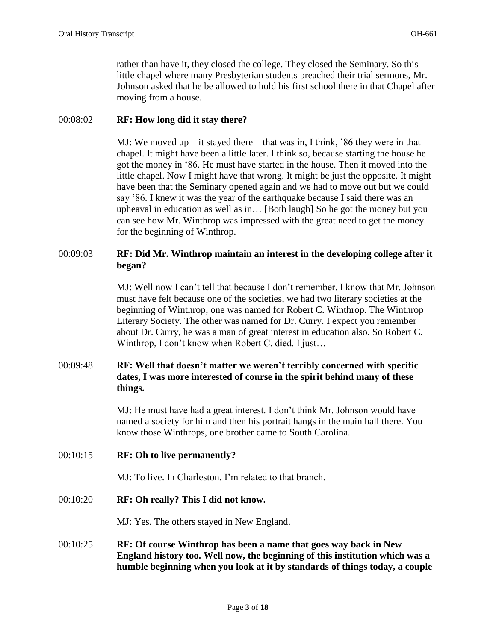rather than have it, they closed the college. They closed the Seminary. So this little chapel where many Presbyterian students preached their trial sermons, Mr. Johnson asked that he be allowed to hold his first school there in that Chapel after moving from a house.

#### 00:08:02 **RF: How long did it stay there?**

MJ: We moved up—it stayed there—that was in, I think, '86 they were in that chapel. It might have been a little later. I think so, because starting the house he got the money in '86. He must have started in the house. Then it moved into the little chapel. Now I might have that wrong. It might be just the opposite. It might have been that the Seminary opened again and we had to move out but we could say '86. I knew it was the year of the earthquake because I said there was an upheaval in education as well as in… [Both laugh] So he got the money but you can see how Mr. Winthrop was impressed with the great need to get the money for the beginning of Winthrop.

## 00:09:03 **RF: Did Mr. Winthrop maintain an interest in the developing college after it began?**

MJ: Well now I can't tell that because I don't remember. I know that Mr. Johnson must have felt because one of the societies, we had two literary societies at the beginning of Winthrop, one was named for Robert C. Winthrop. The Winthrop Literary Society. The other was named for Dr. Curry. I expect you remember about Dr. Curry, he was a man of great interest in education also. So Robert C. Winthrop, I don't know when Robert C. died. I just…

## 00:09:48 **RF: Well that doesn't matter we weren't terribly concerned with specific dates, I was more interested of course in the spirit behind many of these things.**

MJ: He must have had a great interest. I don't think Mr. Johnson would have named a society for him and then his portrait hangs in the main hall there. You know those Winthrops, one brother came to South Carolina.

00:10:15 **RF: Oh to live permanently?** 

MJ: To live. In Charleston. I'm related to that branch.

00:10:20 **RF: Oh really? This I did not know.** 

MJ: Yes. The others stayed in New England.

00:10:25 **RF: Of course Winthrop has been a name that goes way back in New England history too. Well now, the beginning of this institution which was a humble beginning when you look at it by standards of things today, a couple**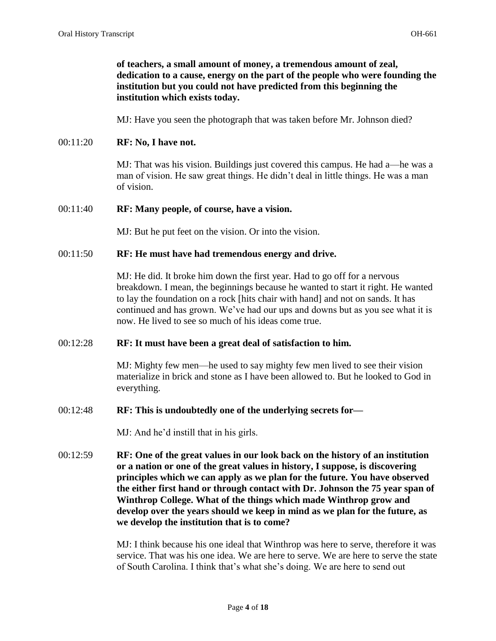## **of teachers, a small amount of money, a tremendous amount of zeal, dedication to a cause, energy on the part of the people who were founding the institution but you could not have predicted from this beginning the institution which exists today.**

MJ: Have you seen the photograph that was taken before Mr. Johnson died?

#### 00:11:20 **RF: No, I have not.**

MJ: That was his vision. Buildings just covered this campus. He had a—he was a man of vision. He saw great things. He didn't deal in little things. He was a man of vision.

#### 00:11:40 **RF: Many people, of course, have a vision.**

MJ: But he put feet on the vision. Or into the vision.

## 00:11:50 **RF: He must have had tremendous energy and drive.**

MJ: He did. It broke him down the first year. Had to go off for a nervous breakdown. I mean, the beginnings because he wanted to start it right. He wanted to lay the foundation on a rock [hits chair with hand] and not on sands. It has continued and has grown. We've had our ups and downs but as you see what it is now. He lived to see so much of his ideas come true.

#### 00:12:28 **RF: It must have been a great deal of satisfaction to him.**

MJ: Mighty few men—he used to say mighty few men lived to see their vision materialize in brick and stone as I have been allowed to. But he looked to God in everything.

#### 00:12:48 **RF: This is undoubtedly one of the underlying secrets for—**

MJ: And he'd instill that in his girls.

00:12:59 **RF: One of the great values in our look back on the history of an institution or a nation or one of the great values in history, I suppose, is discovering principles which we can apply as we plan for the future. You have observed the either first hand or through contact with Dr. Johnson the 75 year span of Winthrop College. What of the things which made Winthrop grow and develop over the years should we keep in mind as we plan for the future, as we develop the institution that is to come?** 

> MJ: I think because his one ideal that Winthrop was here to serve, therefore it was service. That was his one idea. We are here to serve. We are here to serve the state of South Carolina. I think that's what she's doing. We are here to send out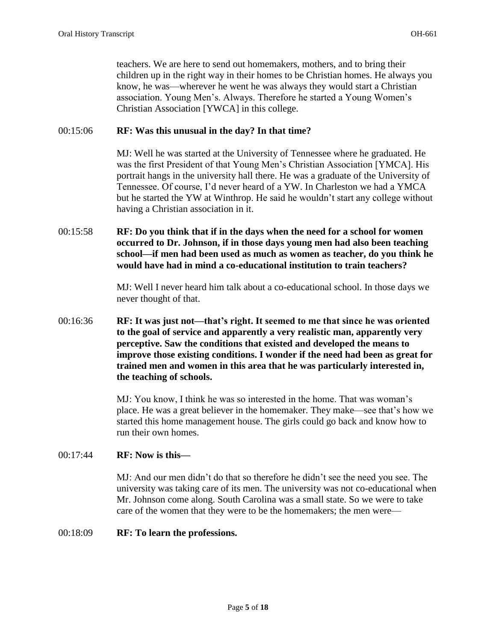teachers. We are here to send out homemakers, mothers, and to bring their children up in the right way in their homes to be Christian homes. He always you know, he was—wherever he went he was always they would start a Christian association. Young Men's. Always. Therefore he started a Young Women's Christian Association [YWCA] in this college.

## 00:15:06 **RF: Was this unusual in the day? In that time?**

MJ: Well he was started at the University of Tennessee where he graduated. He was the first President of that Young Men's Christian Association [YMCA]. His portrait hangs in the university hall there. He was a graduate of the University of Tennessee. Of course, I'd never heard of a YW. In Charleston we had a YMCA but he started the YW at Winthrop. He said he wouldn't start any college without having a Christian association in it.

00:15:58 **RF: Do you think that if in the days when the need for a school for women occurred to Dr. Johnson, if in those days young men had also been teaching school—if men had been used as much as women as teacher, do you think he would have had in mind a co-educational institution to train teachers?**

> MJ: Well I never heard him talk about a co-educational school. In those days we never thought of that.

00:16:36 **RF: It was just not—that's right. It seemed to me that since he was oriented to the goal of service and apparently a very realistic man, apparently very perceptive. Saw the conditions that existed and developed the means to improve those existing conditions. I wonder if the need had been as great for trained men and women in this area that he was particularly interested in, the teaching of schools.** 

> MJ: You know, I think he was so interested in the home. That was woman's place. He was a great believer in the homemaker. They make—see that's how we started this home management house. The girls could go back and know how to run their own homes.

#### 00:17:44 **RF: Now is this—**

MJ: And our men didn't do that so therefore he didn't see the need you see. The university was taking care of its men. The university was not co-educational when Mr. Johnson come along. South Carolina was a small state. So we were to take care of the women that they were to be the homemakers; the men were—

#### 00:18:09 **RF: To learn the professions.**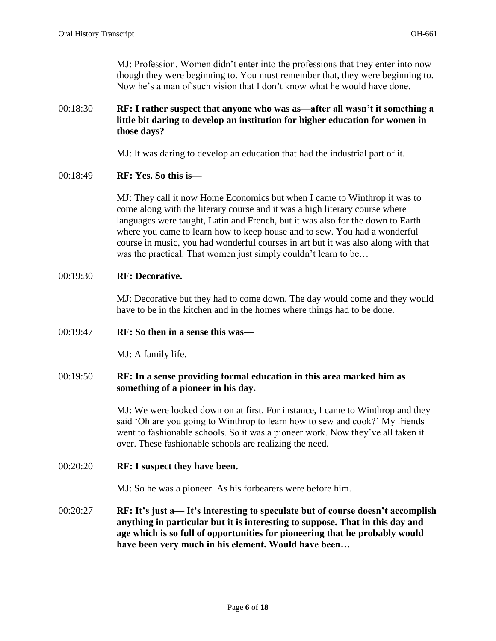MJ: Profession. Women didn't enter into the professions that they enter into now though they were beginning to. You must remember that, they were beginning to. Now he's a man of such vision that I don't know what he would have done.

## 00:18:30 **RF: I rather suspect that anyone who was as—after all wasn't it something a little bit daring to develop an institution for higher education for women in those days?**

MJ: It was daring to develop an education that had the industrial part of it.

00:18:49 **RF: Yes. So this is—**

MJ: They call it now Home Economics but when I came to Winthrop it was to come along with the literary course and it was a high literary course where languages were taught, Latin and French, but it was also for the down to Earth where you came to learn how to keep house and to sew. You had a wonderful course in music, you had wonderful courses in art but it was also along with that was the practical. That women just simply couldn't learn to be...

## 00:19:30 **RF: Decorative.**

MJ: Decorative but they had to come down. The day would come and they would have to be in the kitchen and in the homes where things had to be done.

## 00:19:47 **RF: So then in a sense this was—**

MJ: A family life.

## 00:19:50 **RF: In a sense providing formal education in this area marked him as something of a pioneer in his day.**

MJ: We were looked down on at first. For instance, I came to Winthrop and they said 'Oh are you going to Winthrop to learn how to sew and cook?' My friends went to fashionable schools. So it was a pioneer work. Now they've all taken it over. These fashionable schools are realizing the need.

## 00:20:20 **RF: I suspect they have been.**

MJ: So he was a pioneer. As his forbearers were before him.

00:20:27 **RF: It's just a— It's interesting to speculate but of course doesn't accomplish anything in particular but it is interesting to suppose. That in this day and age which is so full of opportunities for pioneering that he probably would have been very much in his element. Would have been…**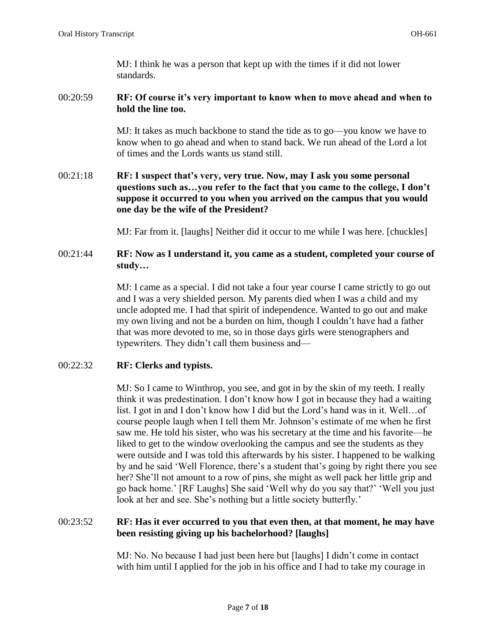MJ: I think he was a person that kept up with the times if it did not lower standards.

## 00:20:59 **RF: Of course it's very important to know when to move ahead and when to hold the line too.**

MJ: It takes as much backbone to stand the tide as to go—you know we have to know when to go ahead and when to stand back. We run ahead of the Lord a lot of times and the Lords wants us stand still.

# 00:21:18 **RF: I suspect that's very, very true. Now, may I ask you some personal questions such as…you refer to the fact that you came to the college, I don't suppose it occurred to you when you arrived on the campus that you would one day be the wife of the President?**

MJ: Far from it. [laughs] Neither did it occur to me while I was here. [chuckles]

# 00:21:44 **RF: Now as I understand it, you came as a student, completed your course of study…**

MJ: I came as a special. I did not take a four year course I came strictly to go out and I was a very shielded person. My parents died when I was a child and my uncle adopted me. I had that spirit of independence. Wanted to go out and make my own living and not be a burden on him, though I couldn't have had a father that was more devoted to me, so in those days girls were stenographers and typewriters. They didn't call them business and—

# 00:22:32 **RF: Clerks and typists.**

MJ: So I came to Winthrop, you see, and got in by the skin of my teeth. I really think it was predestination. I don't know how I got in because they had a waiting list. I got in and I don't know how I did but the Lord's hand was in it. Well…of course people laugh when I tell them Mr. Johnson's estimate of me when he first saw me. He told his sister, who was his secretary at the time and his favorite—he liked to get to the window overlooking the campus and see the students as they were outside and I was told this afterwards by his sister. I happened to be walking by and he said 'Well Florence, there's a student that's going by right there you see her? She'll not amount to a row of pins, she might as well pack her little grip and go back home.' [RF Laughs] She said 'Well why do you say that?' 'Well you just look at her and see. She's nothing but a little society butterfly.'

## 00:23:52 **RF: Has it ever occurred to you that even then, at that moment, he may have been resisting giving up his bachelorhood? [laughs]**

MJ: No. No because I had just been here but [laughs] I didn't come in contact with him until I applied for the job in his office and I had to take my courage in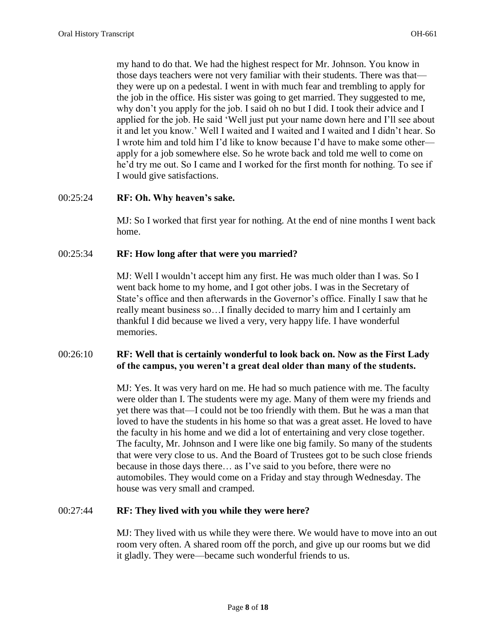my hand to do that. We had the highest respect for Mr. Johnson. You know in those days teachers were not very familiar with their students. There was that they were up on a pedestal. I went in with much fear and trembling to apply for the job in the office. His sister was going to get married. They suggested to me, why don't you apply for the job. I said oh no but I did. I took their advice and I applied for the job. He said 'Well just put your name down here and I'll see about it and let you know.' Well I waited and I waited and I waited and I didn't hear. So I wrote him and told him I'd like to know because I'd have to make some other apply for a job somewhere else. So he wrote back and told me well to come on he'd try me out. So I came and I worked for the first month for nothing. To see if I would give satisfactions.

## 00:25:24 **RF: Oh. Why heaven's sake.**

MJ: So I worked that first year for nothing. At the end of nine months I went back home.

## 00:25:34 **RF: How long after that were you married?**

MJ: Well I wouldn't accept him any first. He was much older than I was. So I went back home to my home, and I got other jobs. I was in the Secretary of State's office and then afterwards in the Governor's office. Finally I saw that he really meant business so…I finally decided to marry him and I certainly am thankful I did because we lived a very, very happy life. I have wonderful memories.

## 00:26:10 **RF: Well that is certainly wonderful to look back on. Now as the First Lady of the campus, you weren't a great deal older than many of the students.**

MJ: Yes. It was very hard on me. He had so much patience with me. The faculty were older than I. The students were my age. Many of them were my friends and yet there was that—I could not be too friendly with them. But he was a man that loved to have the students in his home so that was a great asset. He loved to have the faculty in his home and we did a lot of entertaining and very close together. The faculty, Mr. Johnson and I were like one big family. So many of the students that were very close to us. And the Board of Trustees got to be such close friends because in those days there… as I've said to you before, there were no automobiles. They would come on a Friday and stay through Wednesday. The house was very small and cramped.

## 00:27:44 **RF: They lived with you while they were here?**

MJ: They lived with us while they were there. We would have to move into an out room very often. A shared room off the porch, and give up our rooms but we did it gladly. They were—became such wonderful friends to us.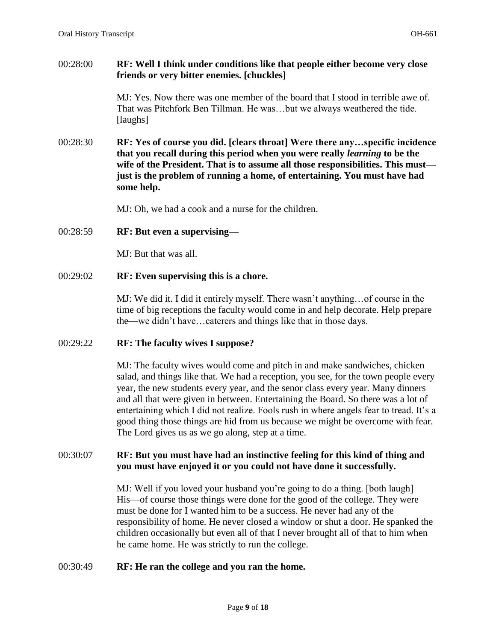## 00:28:00 **RF: Well I think under conditions like that people either become very close friends or very bitter enemies. [chuckles]**

MJ: Yes. Now there was one member of the board that I stood in terrible awe of. That was Pitchfork Ben Tillman. He was…but we always weathered the tide. [laughs]

00:28:30 **RF: Yes of course you did. [clears throat] Were there any…specific incidence that you recall during this period when you were really** *learning* **to be the wife of the President. That is to assume all those responsibilities. This must just is the problem of running a home, of entertaining. You must have had some help.** 

MJ: Oh, we had a cook and a nurse for the children.

## 00:28:59 **RF: But even a supervising—**

MJ: But that was all.

## 00:29:02 **RF: Even supervising this is a chore.**

MJ: We did it. I did it entirely myself. There wasn't anything…of course in the time of big receptions the faculty would come in and help decorate. Help prepare the—we didn't have…caterers and things like that in those days.

## 00:29:22 **RF: The faculty wives I suppose?**

MJ: The faculty wives would come and pitch in and make sandwiches, chicken salad, and things like that. We had a reception, you see, for the town people every year, the new students every year, and the senor class every year. Many dinners and all that were given in between. Entertaining the Board. So there was a lot of entertaining which I did not realize. Fools rush in where angels fear to tread. It's a good thing those things are hid from us because we might be overcome with fear. The Lord gives us as we go along, step at a time.

## 00:30:07 **RF: But you must have had an instinctive feeling for this kind of thing and you must have enjoyed it or you could not have done it successfully.**

MJ: Well if you loved your husband you're going to do a thing. [both laugh] His—of course those things were done for the good of the college. They were must be done for I wanted him to be a success. He never had any of the responsibility of home. He never closed a window or shut a door. He spanked the children occasionally but even all of that I never brought all of that to him when he came home. He was strictly to run the college.

## 00:30:49 **RF: He ran the college and you ran the home.**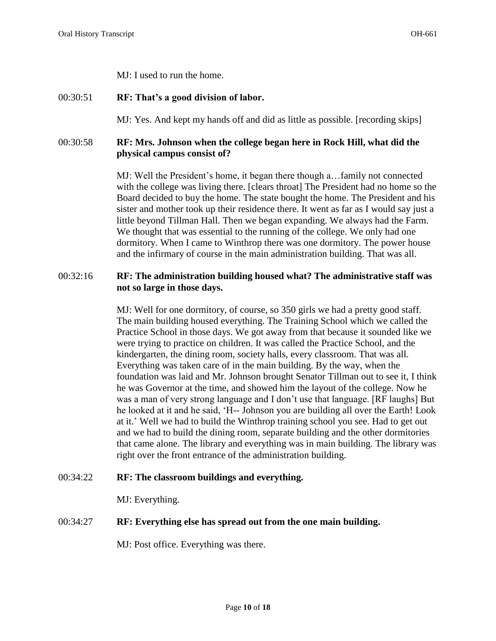MJ: I used to run the home.

# 00:30:51 **RF: That's a good division of labor.**

MJ: Yes. And kept my hands off and did as little as possible. [recording skips]

# 00:30:58 **RF: Mrs. Johnson when the college began here in Rock Hill, what did the physical campus consist of?**

MJ: Well the President's home, it began there though a…family not connected with the college was living there. [clears throat] The President had no home so the Board decided to buy the home. The state bought the home. The President and his sister and mother took up their residence there. It went as far as I would say just a little beyond Tillman Hall. Then we began expanding. We always had the Farm. We thought that was essential to the running of the college. We only had one dormitory. When I came to Winthrop there was one dormitory. The power house and the infirmary of course in the main administration building. That was all.

## 00:32:16 **RF: The administration building housed what? The administrative staff was not so large in those days.**

MJ: Well for one dormitory, of course, so 350 girls we had a pretty good staff. The main building housed everything. The Training School which we called the Practice School in those days. We got away from that because it sounded like we were trying to practice on children. It was called the Practice School, and the kindergarten, the dining room, society halls, every classroom. That was all. Everything was taken care of in the main building. By the way, when the foundation was laid and Mr. Johnson brought Senator Tillman out to see it, I think he was Governor at the time, and showed him the layout of the college. Now he was a man of very strong language and I don't use that language. [RF laughs] But he looked at it and he said, 'H-- Johnson you are building all over the Earth! Look at it.' Well we had to build the Winthrop training school you see. Had to get out and we had to build the dining room, separate building and the other dormitories that came alone. The library and everything was in main building. The library was right over the front entrance of the administration building.

# 00:34:22 **RF: The classroom buildings and everything.**

MJ: Everything.

# 00:34:27 **RF: Everything else has spread out from the one main building.**

MJ: Post office. Everything was there.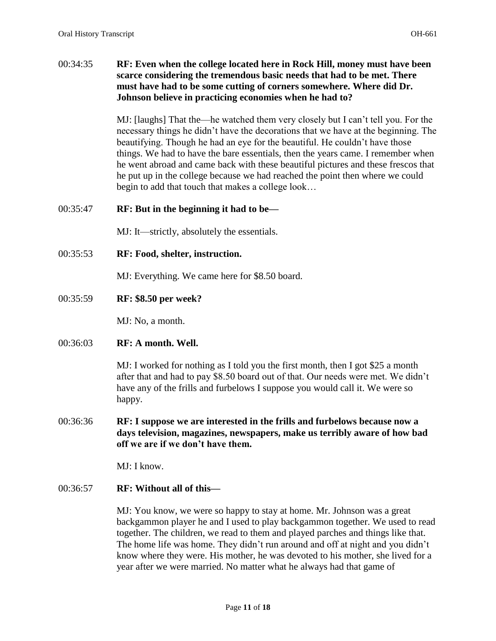## 00:34:35 **RF: Even when the college located here in Rock Hill, money must have been scarce considering the tremendous basic needs that had to be met. There must have had to be some cutting of corners somewhere. Where did Dr. Johnson believe in practicing economies when he had to?**

MJ: [laughs] That the—he watched them very closely but I can't tell you. For the necessary things he didn't have the decorations that we have at the beginning. The beautifying. Though he had an eye for the beautiful. He couldn't have those things. We had to have the bare essentials, then the years came. I remember when he went abroad and came back with these beautiful pictures and these frescos that he put up in the college because we had reached the point then where we could begin to add that touch that makes a college look…

## 00:35:47 **RF: But in the beginning it had to be—**

MJ: It—strictly, absolutely the essentials.

00:35:53 **RF: Food, shelter, instruction.** 

MJ: Everything. We came here for \$8.50 board.

00:35:59 **RF: \$8.50 per week?** 

MJ: No, a month.

## 00:36:03 **RF: A month. Well.**

MJ: I worked for nothing as I told you the first month, then I got \$25 a month after that and had to pay \$8.50 board out of that. Our needs were met. We didn't have any of the frills and furbelows I suppose you would call it. We were so happy.

00:36:36 **RF: I suppose we are interested in the frills and furbelows because now a days television, magazines, newspapers, make us terribly aware of how bad off we are if we don't have them.** 

MJ: I know.

## 00:36:57 **RF: Without all of this—**

MJ: You know, we were so happy to stay at home. Mr. Johnson was a great backgammon player he and I used to play backgammon together. We used to read together. The children, we read to them and played parches and things like that. The home life was home. They didn't run around and off at night and you didn't know where they were. His mother, he was devoted to his mother, she lived for a year after we were married. No matter what he always had that game of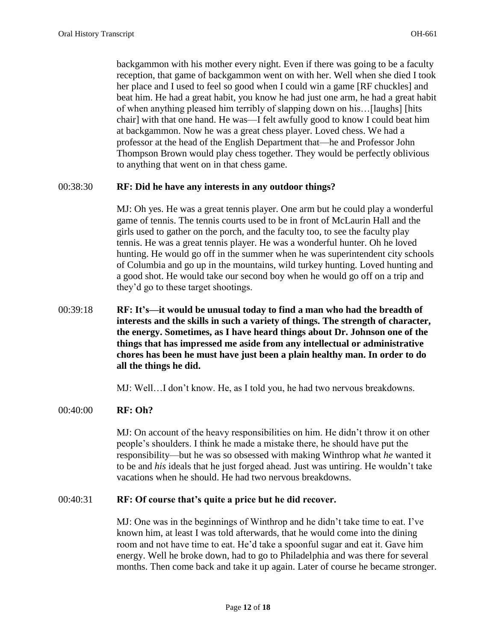backgammon with his mother every night. Even if there was going to be a faculty reception, that game of backgammon went on with her. Well when she died I took her place and I used to feel so good when I could win a game [RF chuckles] and beat him. He had a great habit, you know he had just one arm, he had a great habit of when anything pleased him terribly of slapping down on his…[laughs] [hits chair] with that one hand. He was—I felt awfully good to know I could beat him at backgammon. Now he was a great chess player. Loved chess. We had a professor at the head of the English Department that—he and Professor John Thompson Brown would play chess together. They would be perfectly oblivious to anything that went on in that chess game.

#### 00:38:30 **RF: Did he have any interests in any outdoor things?**

MJ: Oh yes. He was a great tennis player. One arm but he could play a wonderful game of tennis. The tennis courts used to be in front of McLaurin Hall and the girls used to gather on the porch, and the faculty too, to see the faculty play tennis. He was a great tennis player. He was a wonderful hunter. Oh he loved hunting. He would go off in the summer when he was superintendent city schools of Columbia and go up in the mountains, wild turkey hunting. Loved hunting and a good shot. He would take our second boy when he would go off on a trip and they'd go to these target shootings.

00:39:18 **RF: It's—it would be unusual today to find a man who had the breadth of interests and the skills in such a variety of things. The strength of character, the energy. Sometimes, as I have heard things about Dr. Johnson one of the things that has impressed me aside from any intellectual or administrative chores has been he must have just been a plain healthy man. In order to do all the things he did.** 

MJ: Well…I don't know. He, as I told you, he had two nervous breakdowns.

#### 00:40:00 **RF: Oh?**

MJ: On account of the heavy responsibilities on him. He didn't throw it on other people's shoulders. I think he made a mistake there, he should have put the responsibility—but he was so obsessed with making Winthrop what *he* wanted it to be and *his* ideals that he just forged ahead. Just was untiring. He wouldn't take vacations when he should. He had two nervous breakdowns.

#### 00:40:31 **RF: Of course that's quite a price but he did recover.**

MJ: One was in the beginnings of Winthrop and he didn't take time to eat. I've known him, at least I was told afterwards, that he would come into the dining room and not have time to eat. He'd take a spoonful sugar and eat it. Gave him energy. Well he broke down, had to go to Philadelphia and was there for several months. Then come back and take it up again. Later of course he became stronger.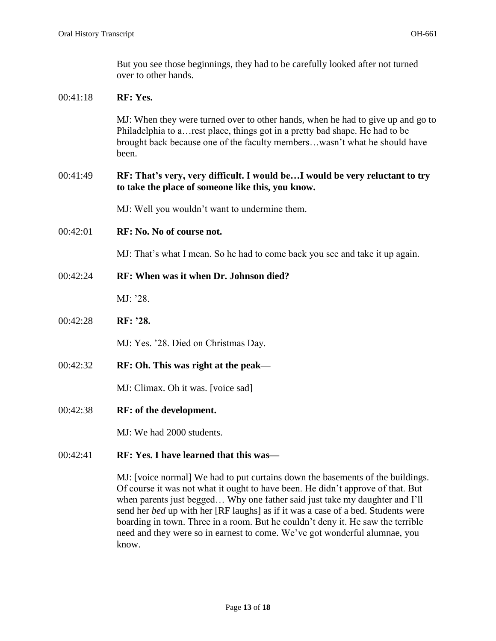00:41:18 **RF: Yes.** 

But you see those beginnings, they had to be carefully looked after not turned over to other hands.

# MJ: When they were turned over to other hands, when he had to give up and go to Philadelphia to a…rest place, things got in a pretty bad shape. He had to be brought back because one of the faculty members…wasn't what he should have been. 00:41:49 **RF: That's very, very difficult. I would be…I would be very reluctant to try to take the place of someone like this, you know.**  MJ: Well you wouldn't want to undermine them. 00:42:01 **RF: No. No of course not.**  MJ: That's what I mean. So he had to come back you see and take it up again. 00:42:24 **RF: When was it when Dr. Johnson died?**  MJ: '28. 00:42:28 **RF: '28.**  MJ: Yes. '28. Died on Christmas Day. 00:42:32 **RF: Oh. This was right at the peak—**

MJ: Climax. Oh it was. [voice sad]

00:42:38 **RF: of the development.** 

MJ: We had 2000 students.

# 00:42:41 **RF: Yes. I have learned that this was—**

MJ: [voice normal] We had to put curtains down the basements of the buildings. Of course it was not what it ought to have been. He didn't approve of that. But when parents just begged… Why one father said just take my daughter and I'll send her *bed* up with her [RF laughs] as if it was a case of a bed. Students were boarding in town. Three in a room. But he couldn't deny it. He saw the terrible need and they were so in earnest to come. We've got wonderful alumnae, you know.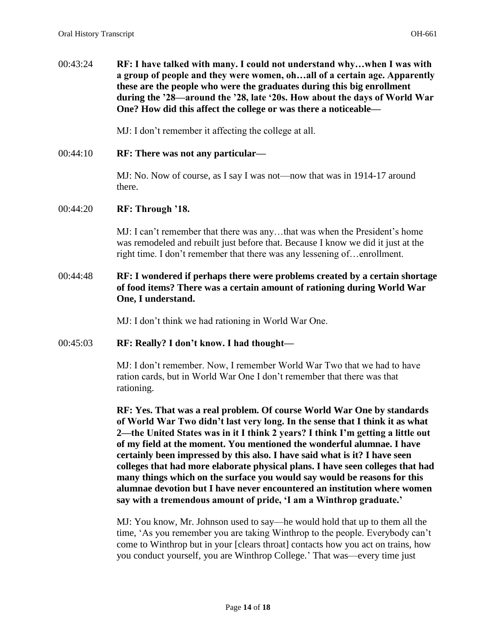00:43:24 **RF: I have talked with many. I could not understand why…when I was with a group of people and they were women, oh…all of a certain age. Apparently these are the people who were the graduates during this big enrollment during the '28—around the '28, late '20s. How about the days of World War One? How did this affect the college or was there a noticeable—**

MJ: I don't remember it affecting the college at all.

00:44:10 **RF: There was not any particular—**

MJ: No. Now of course, as I say I was not—now that was in 1914-17 around there.

## 00:44:20 **RF: Through '18.**

MJ: I can't remember that there was any…that was when the President's home was remodeled and rebuilt just before that. Because I know we did it just at the right time. I don't remember that there was any lessening of…enrollment.

## 00:44:48 **RF: I wondered if perhaps there were problems created by a certain shortage of food items? There was a certain amount of rationing during World War One, I understand.**

MJ: I don't think we had rationing in World War One.

# 00:45:03 **RF: Really? I don't know. I had thought—**

MJ: I don't remember. Now, I remember World War Two that we had to have ration cards, but in World War One I don't remember that there was that rationing.

**RF: Yes. That was a real problem. Of course World War One by standards of World War Two didn't last very long. In the sense that I think it as what 2—the United States was in it I think 2 years? I think I'm getting a little out of my field at the moment. You mentioned the wonderful alumnae. I have certainly been impressed by this also. I have said what is it? I have seen colleges that had more elaborate physical plans. I have seen colleges that had many things which on the surface you would say would be reasons for this alumnae devotion but I have never encountered an institution where women say with a tremendous amount of pride, 'I am a Winthrop graduate.'** 

MJ: You know, Mr. Johnson used to say—he would hold that up to them all the time, 'As you remember you are taking Winthrop to the people. Everybody can't come to Winthrop but in your [clears throat] contacts how you act on trains, how you conduct yourself, you are Winthrop College.' That was—every time just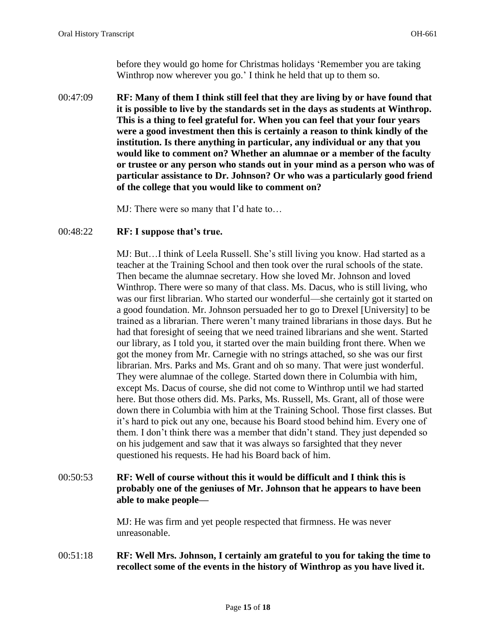before they would go home for Christmas holidays 'Remember you are taking Winthrop now wherever you go.' I think he held that up to them so.

- 00:47:09 **RF: Many of them I think still feel that they are living by or have found that it is possible to live by the standards set in the days as students at Winthrop. This is a thing to feel grateful for. When you can feel that your four years were a good investment then this is certainly a reason to think kindly of the institution. Is there anything in particular, any individual or any that you would like to comment on? Whether an alumnae or a member of the faculty or trustee or any person who stands out in your mind as a person who was of particular assistance to Dr. Johnson? Or who was a particularly good friend of the college that you would like to comment on?** 
	- MJ: There were so many that I'd hate to…

#### 00:48:22 **RF: I suppose that's true.**

MJ: But…I think of Leela Russell. She's still living you know. Had started as a teacher at the Training School and then took over the rural schools of the state. Then became the alumnae secretary. How she loved Mr. Johnson and loved Winthrop. There were so many of that class. Ms. Dacus, who is still living, who was our first librarian. Who started our wonderful—she certainly got it started on a good foundation. Mr. Johnson persuaded her to go to Drexel [University] to be trained as a librarian. There weren't many trained librarians in those days. But he had that foresight of seeing that we need trained librarians and she went. Started our library, as I told you, it started over the main building front there. When we got the money from Mr. Carnegie with no strings attached, so she was our first librarian. Mrs. Parks and Ms. Grant and oh so many. That were just wonderful. They were alumnae of the college. Started down there in Columbia with him, except Ms. Dacus of course, she did not come to Winthrop until we had started here. But those others did. Ms. Parks, Ms. Russell, Ms. Grant, all of those were down there in Columbia with him at the Training School. Those first classes. But it's hard to pick out any one, because his Board stood behind him. Every one of them. I don't think there was a member that didn't stand. They just depended so on his judgement and saw that it was always so farsighted that they never questioned his requests. He had his Board back of him.

# 00:50:53 **RF: Well of course without this it would be difficult and I think this is probably one of the geniuses of Mr. Johnson that he appears to have been able to make people—**

MJ: He was firm and yet people respected that firmness. He was never unreasonable.

## 00:51:18 **RF: Well Mrs. Johnson, I certainly am grateful to you for taking the time to recollect some of the events in the history of Winthrop as you have lived it.**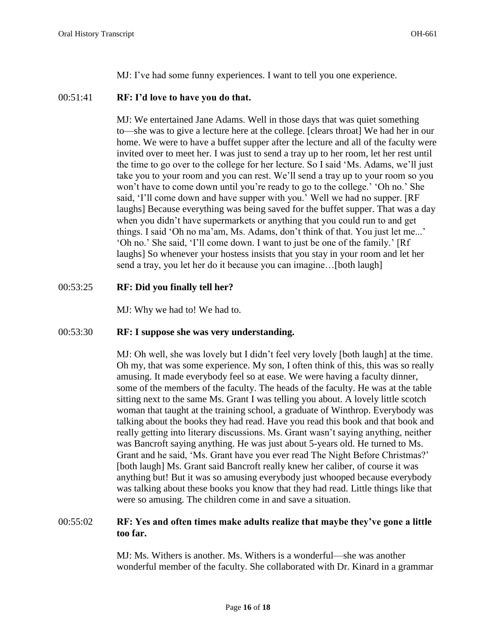MJ: I've had some funny experiences. I want to tell you one experience.

## 00:51:41 **RF: I'd love to have you do that.**

MJ: We entertained Jane Adams. Well in those days that was quiet something to—she was to give a lecture here at the college. [clears throat] We had her in our home. We were to have a buffet supper after the lecture and all of the faculty were invited over to meet her. I was just to send a tray up to her room, let her rest until the time to go over to the college for her lecture. So I said 'Ms. Adams, we'll just take you to your room and you can rest. We'll send a tray up to your room so you won't have to come down until you're ready to go to the college.' 'Oh no.' She said, 'I'll come down and have supper with you.' Well we had no supper. [RF laughs] Because everything was being saved for the buffet supper. That was a day when you didn't have supermarkets or anything that you could run to and get things. I said 'Oh no ma'am, Ms. Adams, don't think of that. You just let me...' 'Oh no.' She said, 'I'll come down. I want to just be one of the family.' [Rf laughs] So whenever your hostess insists that you stay in your room and let her send a tray, you let her do it because you can imagine…[both laugh]

# 00:53:25 **RF: Did you finally tell her?**

MJ: Why we had to! We had to.

# 00:53:30 **RF: I suppose she was very understanding.**

MJ: Oh well, she was lovely but I didn't feel very lovely [both laugh] at the time. Oh my, that was some experience. My son, I often think of this, this was so really amusing. It made everybody feel so at ease. We were having a faculty dinner, some of the members of the faculty. The heads of the faculty. He was at the table sitting next to the same Ms. Grant I was telling you about. A lovely little scotch woman that taught at the training school, a graduate of Winthrop. Everybody was talking about the books they had read. Have you read this book and that book and really getting into literary discussions. Ms. Grant wasn't saying anything, neither was Bancroft saying anything. He was just about 5-years old. He turned to Ms. Grant and he said, 'Ms. Grant have you ever read The Night Before Christmas?' [both laugh] Ms. Grant said Bancroft really knew her caliber, of course it was anything but! But it was so amusing everybody just whooped because everybody was talking about these books you know that they had read. Little things like that were so amusing. The children come in and save a situation.

## 00:55:02 **RF: Yes and often times make adults realize that maybe they've gone a little too far.**

MJ: Ms. Withers is another. Ms. Withers is a wonderful—she was another wonderful member of the faculty. She collaborated with Dr. Kinard in a grammar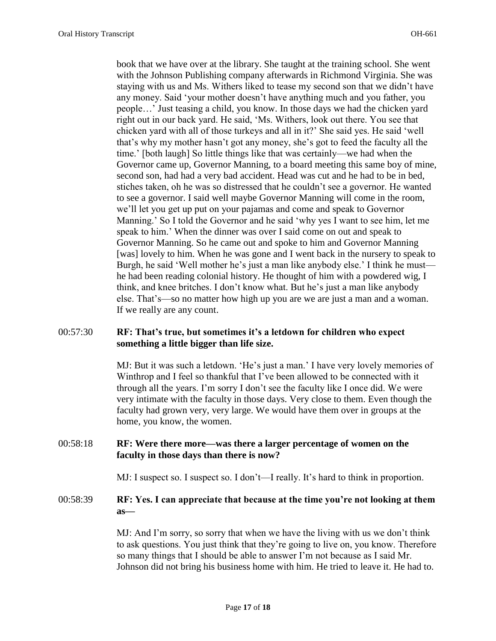book that we have over at the library. She taught at the training school. She went with the Johnson Publishing company afterwards in Richmond Virginia. She was staying with us and Ms. Withers liked to tease my second son that we didn't have any money. Said 'your mother doesn't have anything much and you father, you people…' Just teasing a child, you know. In those days we had the chicken yard right out in our back yard. He said, 'Ms. Withers, look out there. You see that chicken yard with all of those turkeys and all in it?' She said yes. He said 'well that's why my mother hasn't got any money, she's got to feed the faculty all the time.' [both laugh] So little things like that was certainly—we had when the Governor came up, Governor Manning, to a board meeting this same boy of mine, second son, had had a very bad accident. Head was cut and he had to be in bed, stiches taken, oh he was so distressed that he couldn't see a governor. He wanted to see a governor. I said well maybe Governor Manning will come in the room, we'll let you get up put on your pajamas and come and speak to Governor Manning.' So I told the Governor and he said 'why yes I want to see him, let me speak to him.' When the dinner was over I said come on out and speak to Governor Manning. So he came out and spoke to him and Governor Manning [was] lovely to him. When he was gone and I went back in the nursery to speak to Burgh, he said 'Well mother he's just a man like anybody else.' I think he must he had been reading colonial history. He thought of him with a powdered wig, I think, and knee britches. I don't know what. But he's just a man like anybody else. That's—so no matter how high up you are we are just a man and a woman. If we really are any count.

## 00:57:30 **RF: That's true, but sometimes it's a letdown for children who expect something a little bigger than life size.**

MJ: But it was such a letdown. 'He's just a man.' I have very lovely memories of Winthrop and I feel so thankful that I've been allowed to be connected with it through all the years. I'm sorry I don't see the faculty like I once did. We were very intimate with the faculty in those days. Very close to them. Even though the faculty had grown very, very large. We would have them over in groups at the home, you know, the women.

## 00:58:18 **RF: Were there more—was there a larger percentage of women on the faculty in those days than there is now?**

MJ: I suspect so. I suspect so. I don't—I really. It's hard to think in proportion.

## 00:58:39 **RF: Yes. I can appreciate that because at the time you're not looking at them as—**

MJ: And I'm sorry, so sorry that when we have the living with us we don't think to ask questions. You just think that they're going to live on, you know. Therefore so many things that I should be able to answer I'm not because as I said Mr. Johnson did not bring his business home with him. He tried to leave it. He had to.